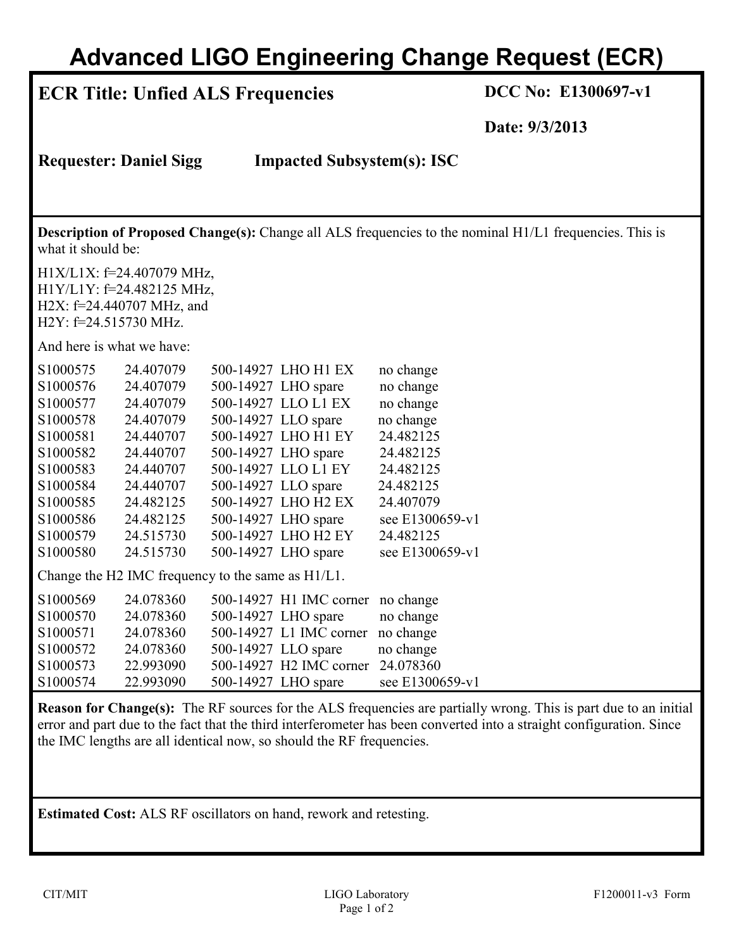## **Advanced LIGO Engineering Change Request (ECR)**

### **ECR Title: Unfied ALS Frequencies DCC No: E1300697-v1**

**Date: 9/3/2013**

**Requester: Daniel Sigg Impacted Subsystem(s): ISC**

**Description of Proposed Change(s):** Change all ALS frequencies to the nominal H1/L1 frequencies. This is what it should be:

H1X/L1X: f=24.407079 MHz, H1Y/L1Y: f=24.482125 MHz, H2X: f=24.440707 MHz, and H2Y: f=24.515730 MHz.

And here is what we have:

| S1000575                                          | 24.407079 |                     | 500-14927 LHO H1 EX     | no change       |  |  |  |
|---------------------------------------------------|-----------|---------------------|-------------------------|-----------------|--|--|--|
| S1000576                                          | 24.407079 |                     | 500-14927 LHO spare     | no change       |  |  |  |
| S1000577                                          | 24.407079 |                     | 500-14927 LLO L1 EX     | no change       |  |  |  |
| S1000578                                          | 24.407079 | 500-14927 LLO spare |                         | no change       |  |  |  |
| S <sub>1000581</sub>                              | 24.440707 |                     | 500-14927 LHO H1 EY     | 24.482125       |  |  |  |
| S1000582                                          | 24.440707 |                     | 500-14927 LHO spare     | 24.482125       |  |  |  |
| S1000583                                          | 24.440707 |                     | 500-14927 LLO L1 EY     | 24.482125       |  |  |  |
| S1000584                                          | 24.440707 | 500-14927 LLO spare |                         | 24.482125       |  |  |  |
| S1000585                                          | 24.482125 |                     | 500-14927 LHO H2 EX     | 24.407079       |  |  |  |
| S1000586                                          | 24.482125 |                     | 500-14927 LHO spare     | see E1300659-v1 |  |  |  |
| S1000579                                          | 24.515730 |                     | 500-14927 LHO H2 EY     | 24.482125       |  |  |  |
| S <sub>1000580</sub>                              | 24.515730 |                     | 500-14927 LHO spare     | see E1300659-v1 |  |  |  |
| Change the H2 IMC frequency to the same as H1/L1. |           |                     |                         |                 |  |  |  |
| S1000569                                          | 24.078360 |                     | 500-14927 H1 IMC corner | no change       |  |  |  |
| S1000570                                          | 24.078360 |                     | 500-14927 LHO spare     | no change       |  |  |  |
| S <sub>1000571</sub>                              | 24.078360 |                     | 500-14927 L1 IMC corner | no change       |  |  |  |
| S1000572                                          | 24.078360 | 500-14927 LLO spare |                         | no change       |  |  |  |
| S1000573                                          | 22.993090 |                     | 500-14927 H2 IMC corner | 24.078360       |  |  |  |
| S <sub>1000574</sub>                              | 22.993090 |                     | 500-14927 LHO spare     | see E1300659-v1 |  |  |  |

**Reason for Change(s):** The RF sources for the ALS frequencies are partially wrong. This is part due to an initial error and part due to the fact that the third interferometer has been converted into a straight configuration. Since the IMC lengths are all identical now, so should the RF frequencies.

**Estimated Cost:** ALS RF oscillators on hand, rework and retesting.